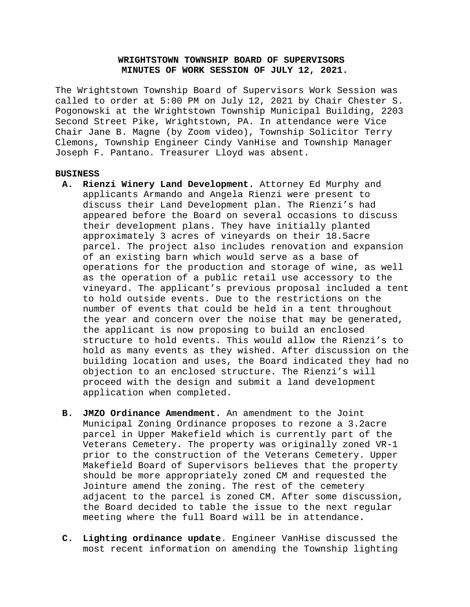# **WRIGHTSTOWN TOWNSHIP BOARD OF SUPERVISORS MINUTES OF WORK SESSION OF JULY 12, 2021.**

The Wrightstown Township Board of Supervisors Work Session was called to order at 5:00 PM on July 12, 2021 by Chair Chester S. Pogonowski at the Wrightstown Township Municipal Building, 2203 Second Street Pike, Wrightstown, PA. In attendance were Vice Chair Jane B. Magne (by Zoom video), Township Solicitor Terry Clemons, Township Engineer Cindy VanHise and Township Manager Joseph F. Pantano. Treasurer Lloyd was absent.

#### **BUSINESS**

- **A. Rienzi Winery Land Development.** Attorney Ed Murphy and applicants Armando and Angela Rienzi were present to discuss their Land Development plan. The Rienzi's had appeared before the Board on several occasions to discuss their development plans. They have initially planted approximately 3 acres of vineyards on their 18.5acre parcel. The project also includes renovation and expansion of an existing barn which would serve as a base of operations for the production and storage of wine, as well as the operation of a public retail use accessory to the vineyard. The applicant's previous proposal included a tent to hold outside events. Due to the restrictions on the number of events that could be held in a tent throughout the year and concern over the noise that may be generated, the applicant is now proposing to build an enclosed structure to hold events. This would allow the Rienzi's to hold as many events as they wished. After discussion on the building location and uses, the Board indicated they had no objection to an enclosed structure. The Rienzi's will proceed with the design and submit a land development application when completed.
- **B. JMZO Ordinance Amendment.** An amendment to the Joint Municipal Zoning Ordinance proposes to rezone a 3.2acre parcel in Upper Makefield which is currently part of the Veterans Cemetery. The property was originally zoned VR-1 prior to the construction of the Veterans Cemetery. Upper Makefield Board of Supervisors believes that the property should be more appropriately zoned CM and requested the Jointure amend the zoning. The rest of the cemetery adjacent to the parcel is zoned CM. After some discussion, the Board decided to table the issue to the next regular meeting where the full Board will be in attendance**.**
- **C. Lighting ordinance update**. Engineer VanHise discussed the most recent information on amending the Township lighting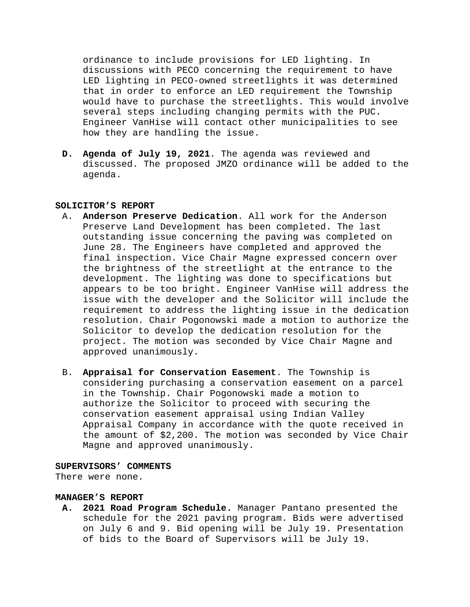ordinance to include provisions for LED lighting. In discussions with PECO concerning the requirement to have LED lighting in PECO-owned streetlights it was determined that in order to enforce an LED requirement the Township would have to purchase the streetlights. This would involve several steps including changing permits with the PUC. Engineer VanHise will contact other municipalities to see how they are handling the issue.

**D. Agenda of July 19, 2021**. The agenda was reviewed and discussed. The proposed JMZO ordinance will be added to the agenda.

## **SOLICITOR'S REPORT**

- A. **Anderson Preserve Dedication**. All work for the Anderson Preserve Land Development has been completed. The last outstanding issue concerning the paving was completed on June 28. The Engineers have completed and approved the final inspection. Vice Chair Magne expressed concern over the brightness of the streetlight at the entrance to the development. The lighting was done to specifications but appears to be too bright. Engineer VanHise will address the issue with the developer and the Solicitor will include the requirement to address the lighting issue in the dedication resolution. Chair Pogonowski made a motion to authorize the Solicitor to develop the dedication resolution for the project. The motion was seconded by Vice Chair Magne and approved unanimously.
- B. **Appraisal for Conservation Easement**. The Township is considering purchasing a conservation easement on a parcel in the Township. Chair Pogonowski made a motion to authorize the Solicitor to proceed with securing the conservation easement appraisal using Indian Valley Appraisal Company in accordance with the quote received in the amount of \$2,200. The motion was seconded by Vice Chair Magne and approved unanimously.

## **SUPERVISORS' COMMENTS**

There were none.

#### **MANAGER'S REPORT**

**A. 2021 Road Program Schedule.** Manager Pantano presented the schedule for the 2021 paving program. Bids were advertised on July 6 and 9. Bid opening will be July 19. Presentation of bids to the Board of Supervisors will be July 19.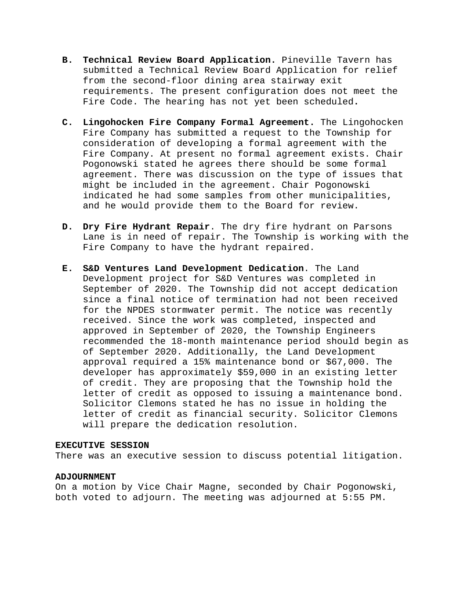- **B. Technical Review Board Application.** Pineville Tavern has submitted a Technical Review Board Application for relief from the second-floor dining area stairway exit requirements. The present configuration does not meet the Fire Code. The hearing has not yet been scheduled**.**
- **C. Lingohocken Fire Company Formal Agreement.** The Lingohocken Fire Company has submitted a request to the Township for consideration of developing a formal agreement with the Fire Company. At present no formal agreement exists. Chair Pogonowski stated he agrees there should be some formal agreement. There was discussion on the type of issues that might be included in the agreement. Chair Pogonowski indicated he had some samples from other municipalities, and he would provide them to the Board for review.
- **D. Dry Fire Hydrant Repair**. The dry fire hydrant on Parsons Lane is in need of repair. The Township is working with the Fire Company to have the hydrant repaired.
- **E. S&D Ventures Land Development Dedication**. The Land Development project for S&D Ventures was completed in September of 2020. The Township did not accept dedication since a final notice of termination had not been received for the NPDES stormwater permit. The notice was recently received. Since the work was completed, inspected and approved in September of 2020, the Township Engineers recommended the 18-month maintenance period should begin as of September 2020. Additionally, the Land Development approval required a 15% maintenance bond or \$67,000. The developer has approximately \$59,000 in an existing letter of credit. They are proposing that the Township hold the letter of credit as opposed to issuing a maintenance bond. Solicitor Clemons stated he has no issue in holding the letter of credit as financial security. Solicitor Clemons will prepare the dedication resolution.

#### **EXECUTIVE SESSION**

There was an executive session to discuss potential litigation.

## **ADJOURNMENT**

On a motion by Vice Chair Magne, seconded by Chair Pogonowski, both voted to adjourn. The meeting was adjourned at 5:55 PM.